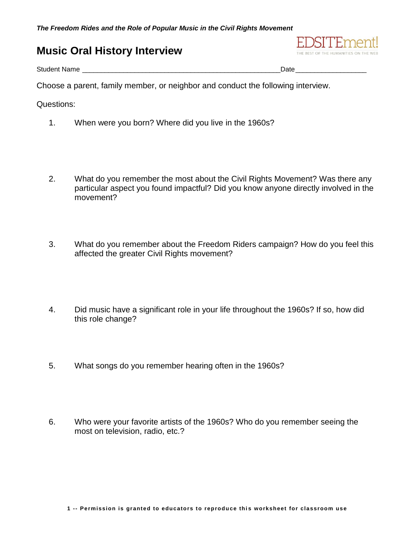## **Music Oral History Interview**



Student Name \_\_\_\_\_\_\_\_\_\_\_\_\_\_\_\_\_\_\_\_\_\_\_\_\_\_\_\_\_\_\_\_\_\_\_\_\_\_\_\_\_\_\_\_\_\_\_\_\_\_\_\_\_Date\_\_\_\_\_\_\_\_\_\_\_\_\_\_\_\_\_\_\_

Choose a parent, family member, or neighbor and conduct the following interview.

Questions:

- 1. When were you born? Where did you live in the 1960s?
- 2. What do you remember the most about the Civil Rights Movement? Was there any particular aspect you found impactful? Did you know anyone directly involved in the movement?
- 3. What do you remember about the Freedom Riders campaign? How do you feel this affected the greater Civil Rights movement?
- 4. Did music have a significant role in your life throughout the 1960s? If so, how did this role change?
- 5. What songs do you remember hearing often in the 1960s?
- 6. Who were your favorite artists of the 1960s? Who do you remember seeing the most on television, radio, etc.?